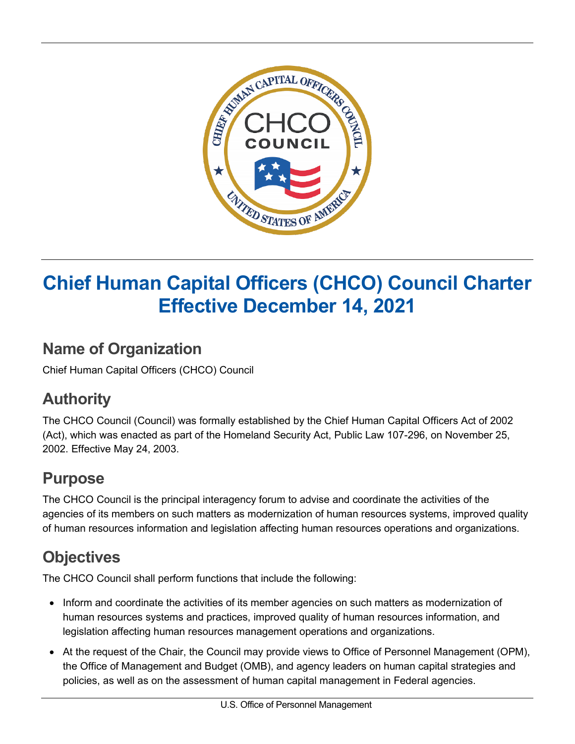

# **Chief Human Capital Officers (CHCO) Council Charter Effective December 14, 2021**

### **Name of Organization**

Chief Human Capital Officers (CHCO) Council

# **Authority**

The CHCO Council (Council) was formally established by the Chief Human Capital Officers Act of 2002 (Act), which was enacted as part of the Homeland Security Act, Public Law 107-296, on November 25, 2002. Effective May 24, 2003.

### **Purpose**

The CHCO Council is the principal interagency forum to advise and coordinate the activities of the agencies of its members on such matters as modernization of human resources systems, improved quality of human resources information and legislation affecting human resources operations and organizations.

# **Objectives**

The CHCO Council shall perform functions that include the following:

- Inform and coordinate the activities of its member agencies on such matters as modernization of human resources systems and practices, improved quality of human resources information, and legislation affecting human resources management operations and organizations.
- At the request of the Chair, the Council may provide views to Office of Personnel Management (OPM), the Office of Management and Budget (OMB), and agency leaders on human capital strategies and policies, as well as on the assessment of human capital management in Federal agencies.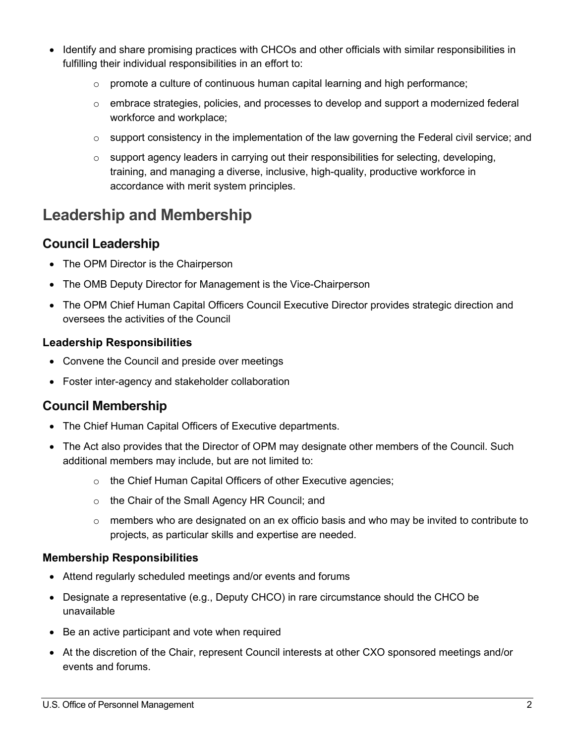- Identify and share promising practices with CHCOs and other officials with similar responsibilities in fulfilling their individual responsibilities in an effort to:
	- $\circ$  promote a culture of continuous human capital learning and high performance;
	- o embrace strategies, policies, and processes to develop and support a modernized federal workforce and workplace;
	- $\circ$  support consistency in the implementation of the law governing the Federal civil service; and
	- $\circ$  support agency leaders in carrying out their responsibilities for selecting, developing, training, and managing a diverse, inclusive, high-quality, productive workforce in accordance with merit system principles.

### **Leadership and Membership**

### **Council Leadership**

- The OPM Director is the Chairperson
- The OMB Deputy Director for Management is the Vice-Chairperson
- The OPM Chief Human Capital Officers Council Executive Director provides strategic direction and oversees the activities of the Council

#### **Leadership Responsibilities**

- Convene the Council and preside over meetings
- Foster inter-agency and stakeholder collaboration

### **Council Membership**

- The Chief Human Capital Officers of Executive departments.
- The Act also provides that the Director of OPM may designate other members of the Council. Such additional members may include, but are not limited to:
	- o the Chief Human Capital Officers of other Executive agencies;
	- o the Chair of the Small Agency HR Council; and
	- $\circ$  members who are designated on an ex officio basis and who may be invited to contribute to projects, as particular skills and expertise are needed.

#### **Membership Responsibilities**

- Attend regularly scheduled meetings and/or events and forums
- Designate a representative (e.g., Deputy CHCO) in rare circumstance should the CHCO be unavailable
- Be an active participant and vote when required
- At the discretion of the Chair, represent Council interests at other CXO sponsored meetings and/or events and forums.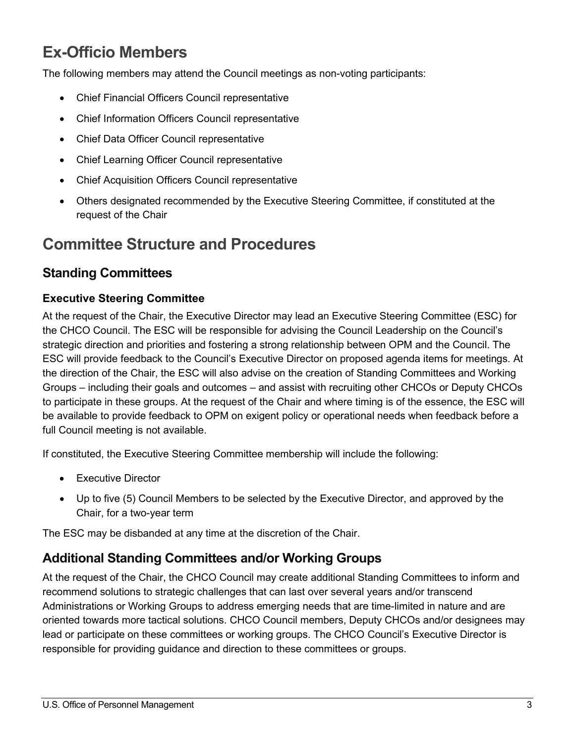### **Ex-Officio Members**

The following members may attend the Council meetings as non-voting participants:

- Chief Financial Officers Council representative
- Chief Information Officers Council representative
- Chief Data Officer Council representative
- Chief Learning Officer Council representative
- Chief Acquisition Officers Council representative
- Others designated recommended by the Executive Steering Committee, if constituted at the request of the Chair

### **Committee Structure and Procedures**

### **Standing Committees**

#### **Executive Steering Committee**

At the request of the Chair, the Executive Director may lead an Executive Steering Committee (ESC) for the CHCO Council. The ESC will be responsible for advising the Council Leadership on the Council's strategic direction and priorities and fostering a strong relationship between OPM and the Council. The ESC will provide feedback to the Council's Executive Director on proposed agenda items for meetings. At the direction of the Chair, the ESC will also advise on the creation of Standing Committees and Working Groups – including their goals and outcomes – and assist with recruiting other CHCOs or Deputy CHCOs to participate in these groups. At the request of the Chair and where timing is of the essence, the ESC will be available to provide feedback to OPM on exigent policy or operational needs when feedback before a full Council meeting is not available.

If constituted, the Executive Steering Committee membership will include the following:

- Executive Director
- Up to five (5) Council Members to be selected by the Executive Director, and approved by the Chair, for a two-year term

The ESC may be disbanded at any time at the discretion of the Chair.

### **Additional Standing Committees and/or Working Groups**

At the request of the Chair, the CHCO Council may create additional Standing Committees to inform and recommend solutions to strategic challenges that can last over several years and/or transcend Administrations or Working Groups to address emerging needs that are time-limited in nature and are oriented towards more tactical solutions. CHCO Council members, Deputy CHCOs and/or designees may lead or participate on these committees or working groups. The CHCO Council's Executive Director is responsible for providing guidance and direction to these committees or groups.